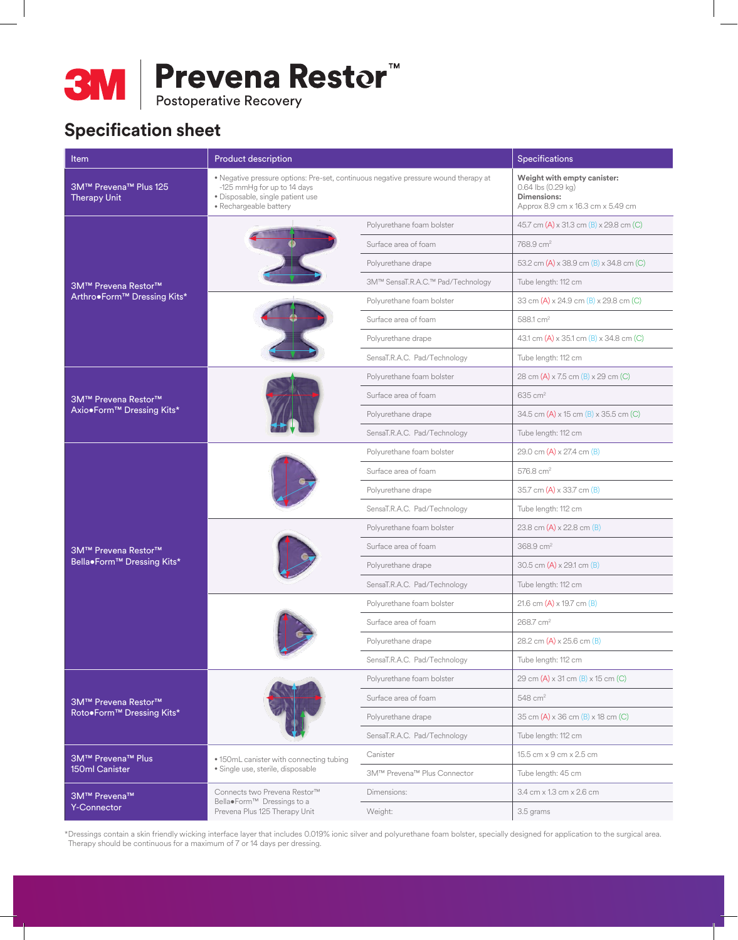

# **Specification sheet**

| <b>Item</b>                                       | Product description                                                                                                                                                              |                                                                 | Specifications                                                                                                                                                                                                                                                                                                                                                                                                                                                                                                                                                            |  |
|---------------------------------------------------|----------------------------------------------------------------------------------------------------------------------------------------------------------------------------------|-----------------------------------------------------------------|---------------------------------------------------------------------------------------------------------------------------------------------------------------------------------------------------------------------------------------------------------------------------------------------------------------------------------------------------------------------------------------------------------------------------------------------------------------------------------------------------------------------------------------------------------------------------|--|
| 3M™ Prevena™ Plus 125<br><b>Therapy Unit</b>      | • Negative pressure options: Pre-set, continuous negative pressure wound therapy at<br>-125 mmHg for up to 14 days<br>· Disposable, single patient use<br>· Rechargeable battery |                                                                 | Weight with empty canister:<br>$0.64$ lbs $(0.29$ kg)<br>Dimensions:<br>Approx 8.9 cm x 16.3 cm x 5.49 cm                                                                                                                                                                                                                                                                                                                                                                                                                                                                 |  |
|                                                   |                                                                                                                                                                                  | Polyurethane foam bolster                                       | 45.7 cm (A) x 31.3 cm (B) x 29.8 cm (C)                                                                                                                                                                                                                                                                                                                                                                                                                                                                                                                                   |  |
|                                                   |                                                                                                                                                                                  | Surface area of foam                                            | 768.9 cm <sup>2</sup>                                                                                                                                                                                                                                                                                                                                                                                                                                                                                                                                                     |  |
| 3M™ Prevena Restor™                               |                                                                                                                                                                                  | Polyurethane drape                                              | 53.2 cm (A) x 38.9 cm (B) x 34.8 cm (C)                                                                                                                                                                                                                                                                                                                                                                                                                                                                                                                                   |  |
|                                                   |                                                                                                                                                                                  | 3M™ SensaT.R.A.C.™ Pad/Technology                               | Tube length: 112 cm<br>33 cm (A) x 24.9 cm (B) x 29.8 cm (C)<br>588.1 cm <sup>2</sup><br>43.1 cm (A) x 35.1 cm (B) x 34.8 cm (C)<br>Tube length: 112 cm<br>28 cm (A) x 7.5 cm (B) x 29 cm (C)<br>635 cm <sup>2</sup><br>34.5 cm (A) x 15 cm (B) x 35.5 cm (C)<br>Tube length: 112 cm<br>29.0 cm $(A) \times 27.4$ cm $(B)$<br>576.8 cm <sup>2</sup><br>35.7 cm (A) x 33.7 cm (B)<br>Tube length: 112 cm<br>23.8 cm $(A) \times 22.8$ cm $(B)$<br>368.9 cm <sup>2</sup><br>30.5 cm $(A) \times 29.1$ cm $(B)$<br>Tube length: 112 cm<br>21.6 cm $(A) \times 19.7$ cm $(B)$ |  |
| Arthro•Form™ Dressing Kits*                       |                                                                                                                                                                                  | Polyurethane foam bolster                                       |                                                                                                                                                                                                                                                                                                                                                                                                                                                                                                                                                                           |  |
|                                                   |                                                                                                                                                                                  | Surface area of foam                                            |                                                                                                                                                                                                                                                                                                                                                                                                                                                                                                                                                                           |  |
|                                                   |                                                                                                                                                                                  | Polyurethane drape                                              |                                                                                                                                                                                                                                                                                                                                                                                                                                                                                                                                                                           |  |
|                                                   |                                                                                                                                                                                  | SensaT.R.A.C. Pad/Technology                                    |                                                                                                                                                                                                                                                                                                                                                                                                                                                                                                                                                                           |  |
| 3M™ Prevena Restor™<br>Axio.Form™ Dressing Kits*  |                                                                                                                                                                                  | Polyurethane foam bolster                                       |                                                                                                                                                                                                                                                                                                                                                                                                                                                                                                                                                                           |  |
|                                                   |                                                                                                                                                                                  | Surface area of foam                                            |                                                                                                                                                                                                                                                                                                                                                                                                                                                                                                                                                                           |  |
|                                                   |                                                                                                                                                                                  | Polyurethane drape                                              |                                                                                                                                                                                                                                                                                                                                                                                                                                                                                                                                                                           |  |
|                                                   |                                                                                                                                                                                  | SensaT.R.A.C. Pad/Technology                                    |                                                                                                                                                                                                                                                                                                                                                                                                                                                                                                                                                                           |  |
|                                                   |                                                                                                                                                                                  | Polyurethane foam bolster                                       |                                                                                                                                                                                                                                                                                                                                                                                                                                                                                                                                                                           |  |
|                                                   |                                                                                                                                                                                  | Surface area of foam                                            |                                                                                                                                                                                                                                                                                                                                                                                                                                                                                                                                                                           |  |
| 3M™ Prevena Restor™<br>Bella•Form™ Dressing Kits* |                                                                                                                                                                                  | Polyurethane drape                                              |                                                                                                                                                                                                                                                                                                                                                                                                                                                                                                                                                                           |  |
|                                                   |                                                                                                                                                                                  | SensaT.R.A.C. Pad/Technology                                    |                                                                                                                                                                                                                                                                                                                                                                                                                                                                                                                                                                           |  |
|                                                   |                                                                                                                                                                                  | Polyurethane foam bolster                                       |                                                                                                                                                                                                                                                                                                                                                                                                                                                                                                                                                                           |  |
|                                                   |                                                                                                                                                                                  | Surface area of foam                                            |                                                                                                                                                                                                                                                                                                                                                                                                                                                                                                                                                                           |  |
|                                                   |                                                                                                                                                                                  | Polyurethane drape                                              |                                                                                                                                                                                                                                                                                                                                                                                                                                                                                                                                                                           |  |
|                                                   |                                                                                                                                                                                  | SensaT.R.A.C. Pad/Technology                                    |                                                                                                                                                                                                                                                                                                                                                                                                                                                                                                                                                                           |  |
|                                                   |                                                                                                                                                                                  | Polyurethane foam bolster                                       |                                                                                                                                                                                                                                                                                                                                                                                                                                                                                                                                                                           |  |
|                                                   |                                                                                                                                                                                  | Surface area of foam                                            | 268.7 cm <sup>2</sup>                                                                                                                                                                                                                                                                                                                                                                                                                                                                                                                                                     |  |
|                                                   |                                                                                                                                                                                  | Polyurethane drape                                              | 28.2 cm (A) x 25.6 cm (B)                                                                                                                                                                                                                                                                                                                                                                                                                                                                                                                                                 |  |
|                                                   |                                                                                                                                                                                  | SensaT.R.A.C. Pad/Technology                                    | Tube length: 112 cm                                                                                                                                                                                                                                                                                                                                                                                                                                                                                                                                                       |  |
|                                                   |                                                                                                                                                                                  | Polyurethane foam bolster                                       | 29 cm (A) x 31 cm (B) x 15 cm (C)                                                                                                                                                                                                                                                                                                                                                                                                                                                                                                                                         |  |
| <b>3M™</b> Prevena Restor™                        |                                                                                                                                                                                  | Surface area of foam                                            | $548$ cm <sup>2</sup>                                                                                                                                                                                                                                                                                                                                                                                                                                                                                                                                                     |  |
| Roto.Form™ Dressing Kits*                         |                                                                                                                                                                                  | Polyurethane drape                                              | 35 cm (A) x 36 cm (B) x 18 cm (C)                                                                                                                                                                                                                                                                                                                                                                                                                                                                                                                                         |  |
|                                                   |                                                                                                                                                                                  | SensaT.R.A.C. Pad/Technology                                    | Tube length: 112 cm                                                                                                                                                                                                                                                                                                                                                                                                                                                                                                                                                       |  |
| 3M™ Prevena™ Plus                                 | . 150mL canister with connecting tubing<br>· Single use, sterile, disposable                                                                                                     | Canister                                                        | 15.5 cm x 9 cm x 2.5 cm                                                                                                                                                                                                                                                                                                                                                                                                                                                                                                                                                   |  |
| <b>150ml Canister</b>                             |                                                                                                                                                                                  | 3M™ Prevena™ Plus Connector                                     | Tube length: 45 cm                                                                                                                                                                                                                                                                                                                                                                                                                                                                                                                                                        |  |
| 3M™ Prevena™                                      | Connects two Prevena Restor™<br>Bella•Form™ Dressings to a                                                                                                                       | 3.4 cm x 1.3 cm x 2.6 cm<br>Dimensions:<br>Weight:<br>3.5 grams |                                                                                                                                                                                                                                                                                                                                                                                                                                                                                                                                                                           |  |
| <b>Y-Connector</b>                                | Prevena Plus 125 Therapy Unit                                                                                                                                                    |                                                                 |                                                                                                                                                                                                                                                                                                                                                                                                                                                                                                                                                                           |  |

\*Dressings contain a skin friendly wicking interface layer that includes 0.019% ionic silver and polyurethane foam bolster, specially designed for application to the surgical area. Therapy should be continuous for a maximum of 7 or 14 days per dressing.